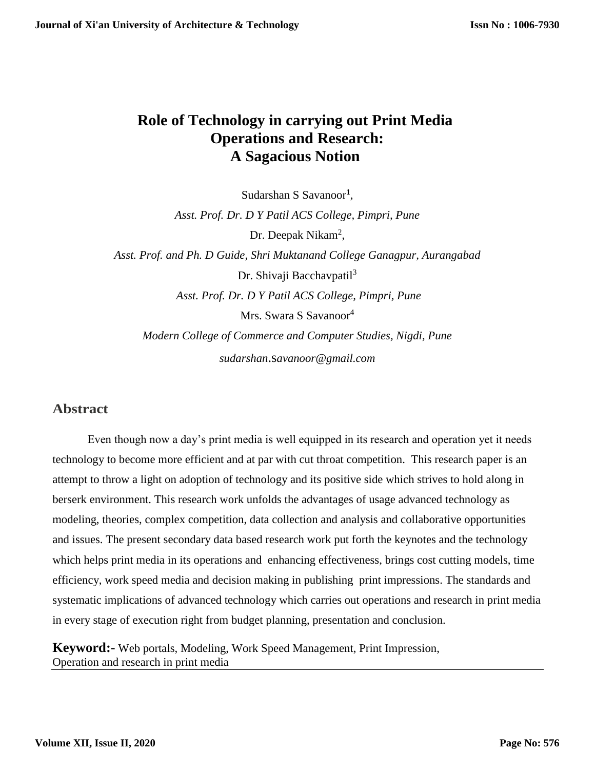# **Role of Technology in carrying out Print Media Operations and Research: A Sagacious Notion**

Sudarshan S Savanoor**<sup>1</sup>** ,

*Asst. Prof. Dr. D Y Patil ACS College, Pimpri, Pune*

Dr. Deepak Nikam<sup>2</sup>,

*Asst. Prof. and Ph. D Guide, Shri Muktanand College Ganagpur, Aurangabad* Dr. Shivaji Bacchavpatil<sup>3</sup> *Asst. Prof. Dr. D Y Patil ACS College, Pimpri, Pune* Mrs. Swara S Savanoor<sup>4</sup>

*Modern College of Commerce and Computer Studies, Nigdi, Pune sudarshan*.s*[avanoor@gmail.com](mailto:sudarshan.savanoor@gmail.com)*

### **Abstract**

Even though now a day's print media is well equipped in its research and operation yet it needs technology to become more efficient and at par with cut throat competition. This research paper is an attempt to throw a light on adoption of technology and its positive side which strives to hold along in berserk environment. This research work unfolds the advantages of usage advanced technology as modeling, theories, complex competition, data collection and analysis and collaborative opportunities and issues. The present secondary data based research work put forth the keynotes and the technology which helps print media in its operations and enhancing effectiveness, brings cost cutting models, time efficiency, work speed media and decision making in publishing print impressions. The standards and systematic implications of advanced technology which carries out operations and research in print media in every stage of execution right from budget planning, presentation and conclusion.

**Keyword:-** Web portals, Modeling, Work Speed Management, Print Impression, Operation and research in print media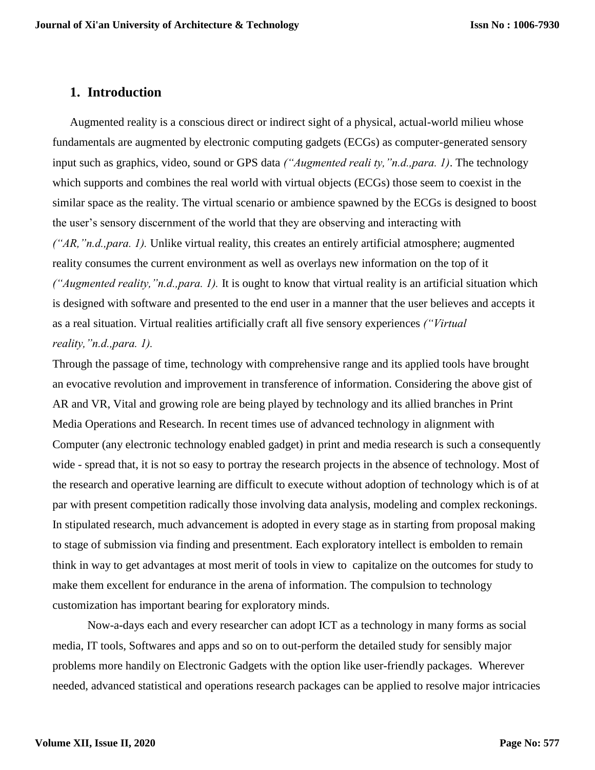### **1. Introduction**

Augmented reality is a conscious direct or indirect sight of a physical, actual-world milieu whose fundamentals are augmented by electronic computing gadgets (ECGs) as computer-generated sensory input such as graphics, video, sound or GPS data *("Augmented reali ty,"n.d.,para. 1)*. The technology which supports and combines the real world with virtual objects (ECGs) those seem to coexist in the similar space as the reality. The virtual scenario or ambience spawned by the ECGs is designed to boost the user's sensory discernment of the world that they are observing and interacting with *("AR,"n.d.,para. 1).* Unlike virtual reality, this creates an entirely artificial atmosphere; augmented reality consumes the current environment as well as overlays new information on the top of it *("Augmented reality,"n.d.,para. 1).* It is ought to know that virtual reality is an artificial situation which is designed with software and presented to the end user in a manner that the user believes and accepts it as a real situation. Virtual realities artificially craft all five sensory experiences *("Virtual reality,"n.d.,para. 1).*

Through the passage of time, technology with comprehensive range and its applied tools have brought an evocative revolution and improvement in transference of information. Considering the above gist of AR and VR, Vital and growing role are being played by technology and its allied branches in Print Media Operations and Research. In recent times use of advanced technology in alignment with Computer (any electronic technology enabled gadget) in print and media research is such a consequently wide - spread that, it is not so easy to portray the research projects in the absence of technology. Most of the research and operative learning are difficult to execute without adoption of technology which is of at par with present competition radically those involving data analysis, modeling and complex reckonings. In stipulated research, much advancement is adopted in every stage as in starting from proposal making to stage of submission via finding and presentment. Each exploratory intellect is embolden to remain think in way to get advantages at most merit of tools in view to capitalize on the outcomes for study to make them excellent for endurance in the arena of information. The compulsion to technology customization has important bearing for exploratory minds.

Now-a-days each and every researcher can adopt ICT as a technology in many forms as social media, IT tools, Softwares and apps and so on to out-perform the detailed study for sensibly major problems more handily on Electronic Gadgets with the option like user-friendly packages. Wherever needed, advanced statistical and operations research packages can be applied to resolve major intricacies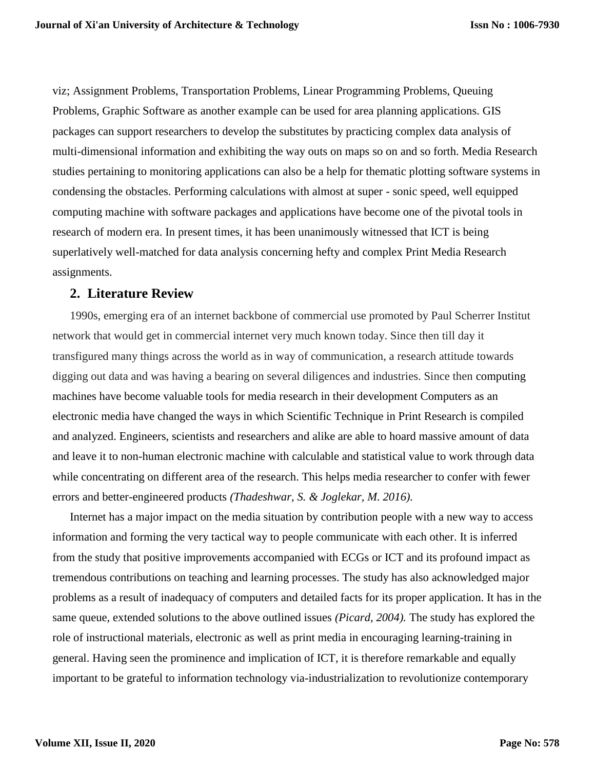viz; Assignment Problems, Transportation Problems, Linear Programming Problems, Queuing Problems, Graphic Software as another example can be used for area planning applications. GIS packages can support researchers to develop the substitutes by practicing complex data analysis of multi-dimensional information and exhibiting the way outs on maps so on and so forth. Media Research studies pertaining to monitoring applications can also be a help for thematic plotting software systems in condensing the obstacles. Performing calculations with almost at super - sonic speed, well equipped computing machine with software packages and applications have become one of the pivotal tools in research of modern era. In present times, it has been unanimously witnessed that ICT is being superlatively well-matched for data analysis concerning hefty and complex Print Media Research assignments.

### **2. Literature Review**

1990s, emerging era of an internet backbone of commercial use promoted by Paul Scherrer Institut network that would get in commercial internet very much known today. Since then till day it transfigured many things across the world as in way of communication, a research attitude towards digging out data and was having a bearing on several diligences and industries. Since then computing machines have become valuable tools for media research in their development Computers as an electronic media have changed the ways in which Scientific Technique in Print Research is compiled and analyzed. Engineers, scientists and researchers and alike are able to hoard massive amount of data and leave it to non-human electronic machine with calculable and statistical value to work through data while concentrating on different area of the research. This helps media researcher to confer with fewer errors and better-engineered products *(Thadeshwar, S. & Joglekar, M. 2016).*

Internet has a major impact on the media situation by contribution people with a new way to access information and forming the very tactical way to people communicate with each other. It is inferred from the study that positive improvements accompanied with ECGs or ICT and its profound impact as tremendous contributions on teaching and learning processes. The study has also acknowledged major problems as a result of inadequacy of computers and detailed facts for its proper application. It has in the same queue, extended solutions to the above outlined issues *(Picard, 2004).* The study has explored the role of instructional materials, electronic as well as print media in encouraging learning-training in general. Having seen the prominence and implication of ICT, it is therefore remarkable and equally important to be grateful to information technology via-industrialization to revolutionize contemporary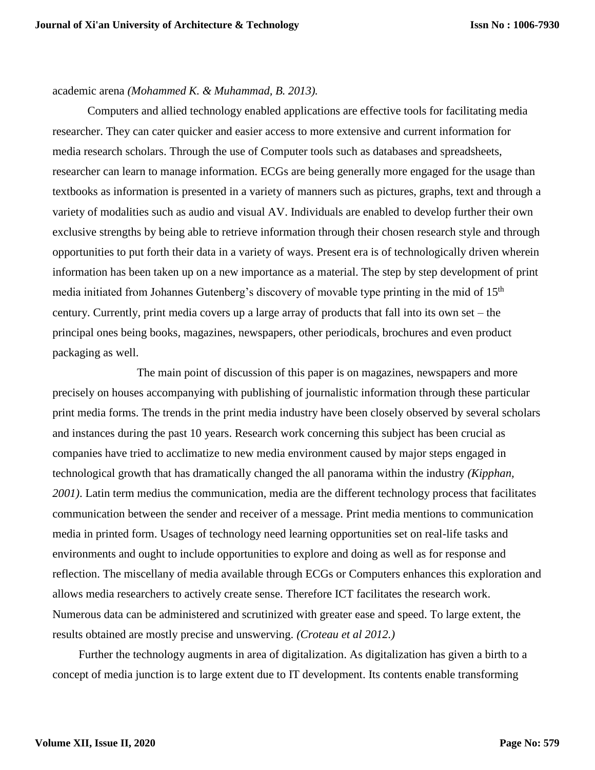#### academic arena *(Mohammed K. & Muhammad, B. 2013).*

Computers and allied technology enabled applications are effective tools for facilitating media researcher. They can cater quicker and easier access to more extensive and current information for media research scholars. Through the use of Computer tools such as databases and spreadsheets, researcher can learn to manage information. ECGs are being generally more engaged for the usage than textbooks as information is presented in a variety of manners such as pictures, graphs, text and through a variety of modalities such as audio and visual AV. Individuals are enabled to develop further their own exclusive strengths by being able to retrieve information through their chosen research style and through opportunities to put forth their data in a variety of ways. Present era is of technologically driven wherein information has been taken up on a new importance as a material. The step by step development of print media initiated from Johannes Gutenberg's discovery of movable type printing in the mid of 15<sup>th</sup> century. Currently, print media covers up a large array of products that fall into its own set – the principal ones being books, magazines, newspapers, other periodicals, brochures and even product packaging as well.

 The main point of discussion of this paper is on magazines, newspapers and more precisely on houses accompanying with publishing of journalistic information through these particular print media forms. The trends in the print media industry have been closely observed by several scholars and instances during the past 10 years. Research work concerning this subject has been crucial as companies have tried to acclimatize to new media environment caused by major steps engaged in technological growth that has dramatically changed the all panorama within the industry *(Kipphan, 2001)*. Latin term medius the communication, media are the different technology process that facilitates communication between the sender and receiver of a message. Print media mentions to communication media in printed form. Usages of technology need learning opportunities set on real-life tasks and environments and ought to include opportunities to explore and doing as well as for response and reflection. The miscellany of media available through ECGs or Computers enhances this exploration and allows media researchers to actively create sense. Therefore ICT facilitates the research work. Numerous data can be administered and scrutinized with greater ease and speed. To large extent, the results obtained are mostly precise and unswerving. *(Croteau et al 2012.)*

Further the technology augments in area of digitalization. As digitalization has given a birth to a concept of media junction is to large extent due to IT development. Its contents enable transforming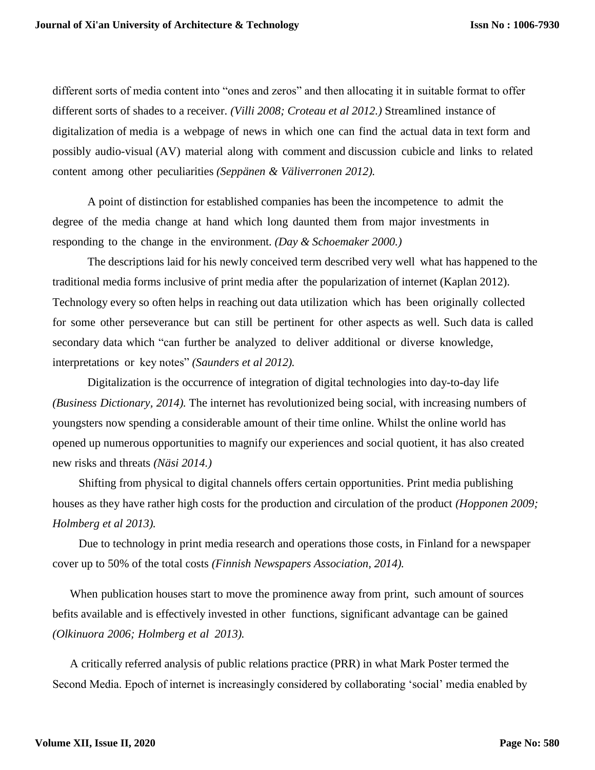different sorts of media content into "ones and zeros" and then allocating it in suitable format to offer different sorts of shades to a receiver. *(Villi 2008; Croteau et al 2012.)* Streamlined instance of digitalization of media is a webpage of news in which one can find the actual data in text form and possibly audio-visual (AV) material along with comment and discussion cubicle and links to related content among other peculiarities *(Seppänen & Väliverronen 2012).*

A point of distinction for established companies has been the incompetence to admit the degree of the media change at hand which long daunted them from major investments in responding to the change in the environment. *(Day & Schoemaker 2000.)*

The descriptions laid for his newly conceived term described very well what has happened to the traditional media forms inclusive of print media after the popularization of internet (Kaplan 2012). Technology every so often helps in reaching out data utilization which has been originally collected for some other perseverance but can still be pertinent for other aspects as well. Such data is called secondary data which "can further be analyzed to deliver additional or diverse knowledge, interpretations or key notes" *(Saunders et al 2012).*

Digitalization is the occurrence of integration of digital technologies into day-to-day life *(Business Dictionary, 2014).* The internet has revolutionized being social, with increasing numbers of youngsters now spending a considerable amount of their time online. Whilst the online world has opened up numerous opportunities to magnify our experiences and social quotient, it has also created new risks and threats *(Näsi 2014.)*

Shifting from physical to digital channels offers certain opportunities. Print media publishing houses as they have rather high costs for the production and circulation of the product *(Hopponen 2009; Holmberg et al 2013).*

Due to technology in print media research and operations those costs, in Finland for a newspaper cover up to 50% of the total costs *(Finnish Newspapers Association, 2014).*

When publication houses start to move the prominence away from print, such amount of sources befits available and is effectively invested in other functions, significant advantage can be gained *(Olkinuora 2006; Holmberg et al 2013).*

A critically referred analysis of public relations practice (PRR) in what Mark Poster termed the Second Media. Epoch of internet is increasingly considered by collaborating 'social' media enabled by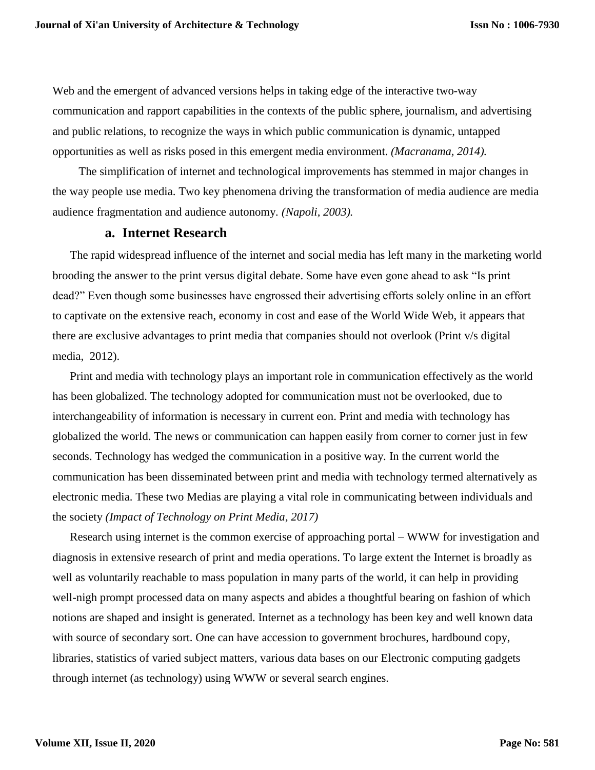Web and the emergent of advanced versions helps in taking edge of the interactive two-way communication and rapport capabilities in the contexts of the public sphere, journalism, and advertising and public relations, to recognize the ways in which public communication is dynamic, untapped opportunities as well as risks posed in this emergent media environment. *(Macranama, 2014).*

The simplification of internet and technological improvements has stemmed in major changes in the way people use media. Two key phenomena driving the transformation of media audience are media audience fragmentation and audience autonomy*. (Napoli, 2003).*

#### **a. Internet Research**

The rapid widespread influence of the internet and social media has left many in the marketing world brooding the answer to the print versus digital debate. Some have even gone ahead to ask "Is print dead?" Even though some businesses have engrossed their advertising efforts solely online in an effort to captivate on the extensive reach, economy in cost and ease of the World Wide Web, it appears that there are exclusive advantages to print media that companies should not overlook (Print v/s digital media, 2012).

Print and media with technology plays an important role in communication effectively as the world has been globalized. The technology adopted for communication must not be overlooked, due to interchangeability of information is necessary in current eon. Print and media with technology has globalized the world. The news or communication can happen easily from corner to corner just in few seconds. Technology has wedged the communication in a positive way. In the current world the communication has been disseminated between print and media with technology termed alternatively as electronic media. These two Medias are playing a vital role in communicating between individuals and the society *(Impact of Technology on Print Media, 2017)*

Research using internet is the common exercise of approaching portal – WWW for investigation and diagnosis in extensive research of print and media operations. To large extent the Internet is broadly as well as voluntarily reachable to mass population in many parts of the world, it can help in providing well-nigh prompt processed data on many aspects and abides a thoughtful bearing on fashion of which notions are shaped and insight is generated. Internet as a technology has been key and well known data with source of secondary sort. One can have accession to government brochures, hardbound copy, libraries, statistics of varied subject matters, various data bases on our Electronic computing gadgets through internet (as technology) using WWW or several search engines.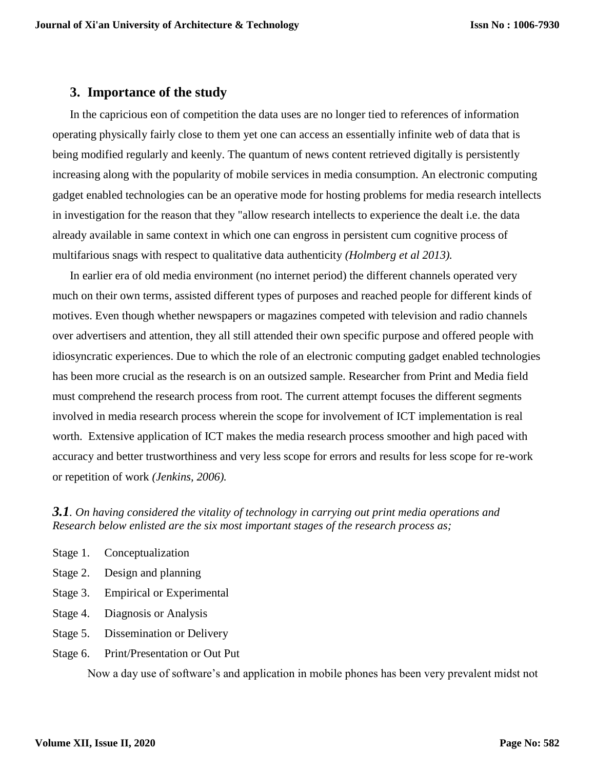### **3. Importance of the study**

In the capricious eon of competition the data uses are no longer tied to references of information operating physically fairly close to them yet one can access an essentially infinite web of data that is being modified regularly and keenly. The quantum of news content retrieved digitally is persistently increasing along with the popularity of mobile services in media consumption. An electronic computing gadget enabled technologies can be an operative mode for hosting problems for media research intellects in investigation for the reason that they "allow research intellects to experience the dealt i.e. the data already available in same context in which one can engross in persistent cum cognitive process of multifarious snags with respect to qualitative data authenticity *(Holmberg et al 2013).*

In earlier era of old media environment (no internet period) the different channels operated very much on their own terms, assisted different types of purposes and reached people for different kinds of motives. Even though whether newspapers or magazines competed with television and radio channels over advertisers and attention, they all still attended their own specific purpose and offered people with idiosyncratic experiences. Due to which the role of an electronic computing gadget enabled technologies has been more crucial as the research is on an outsized sample. Researcher from Print and Media field must comprehend the research process from root. The current attempt focuses the different segments involved in media research process wherein the scope for involvement of ICT implementation is real worth. Extensive application of ICT makes the media research process smoother and high paced with accuracy and better trustworthiness and very less scope for errors and results for less scope for re-work or repetition of work *(Jenkins, 2006).*

*3.1. On having considered the vitality of technology in carrying out print media operations and Research below enlisted are the six most important stages of the research process as;*

- Stage 1. Conceptualization
- Stage 2. Design and planning
- Stage 3. Empirical or Experimental
- Stage 4. Diagnosis or Analysis
- Stage 5. Dissemination or Delivery
- Stage 6. Print/Presentation or Out Put

Now a day use of software's and application in mobile phones has been very prevalent midst not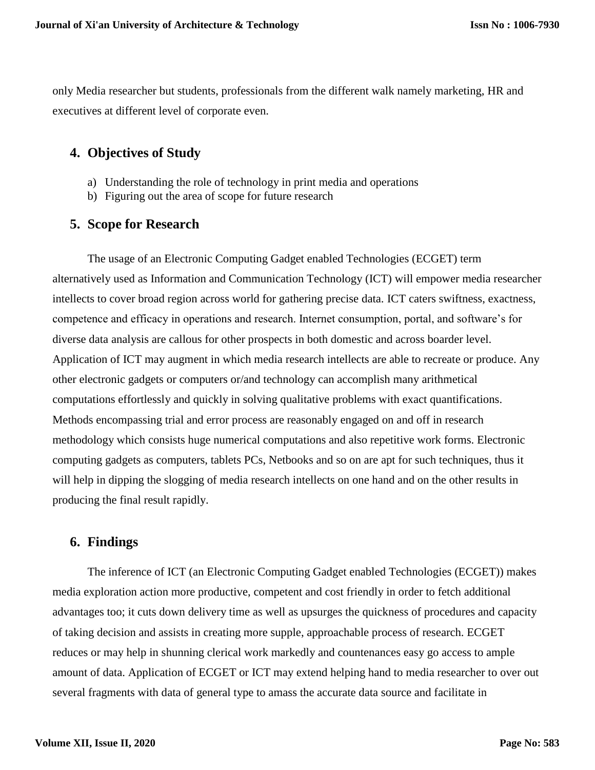only Media researcher but students, professionals from the different walk namely marketing, HR and executives at different level of corporate even.

## **4. Objectives of Study**

- a) Understanding the role of technology in print media and operations
- b) Figuring out the area of scope for future research

## **5. Scope for Research**

The usage of an Electronic Computing Gadget enabled Technologies (ECGET) term alternatively used as Information and Communication Technology (ICT) will empower media researcher intellects to cover broad region across world for gathering precise data. ICT caters swiftness, exactness, competence and efficacy in operations and research. Internet consumption, portal, and software's for diverse data analysis are callous for other prospects in both domestic and across boarder level. Application of ICT may augment in which media research intellects are able to recreate or produce. Any other electronic gadgets or computers or/and technology can accomplish many arithmetical computations effortlessly and quickly in solving qualitative problems with exact quantifications. Methods encompassing trial and error process are reasonably engaged on and off in research methodology which consists huge numerical computations and also repetitive work forms. Electronic computing gadgets as computers, tablets PCs, Netbooks and so on are apt for such techniques, thus it will help in dipping the slogging of media research intellects on one hand and on the other results in producing the final result rapidly.

### **6. Findings**

The inference of ICT (an Electronic Computing Gadget enabled Technologies (ECGET)) makes media exploration action more productive, competent and cost friendly in order to fetch additional advantages too; it cuts down delivery time as well as upsurges the quickness of procedures and capacity of taking decision and assists in creating more supple, approachable process of research. ECGET reduces or may help in shunning clerical work markedly and countenances easy go access to ample amount of data. Application of ECGET or ICT may extend helping hand to media researcher to over out several fragments with data of general type to amass the accurate data source and facilitate in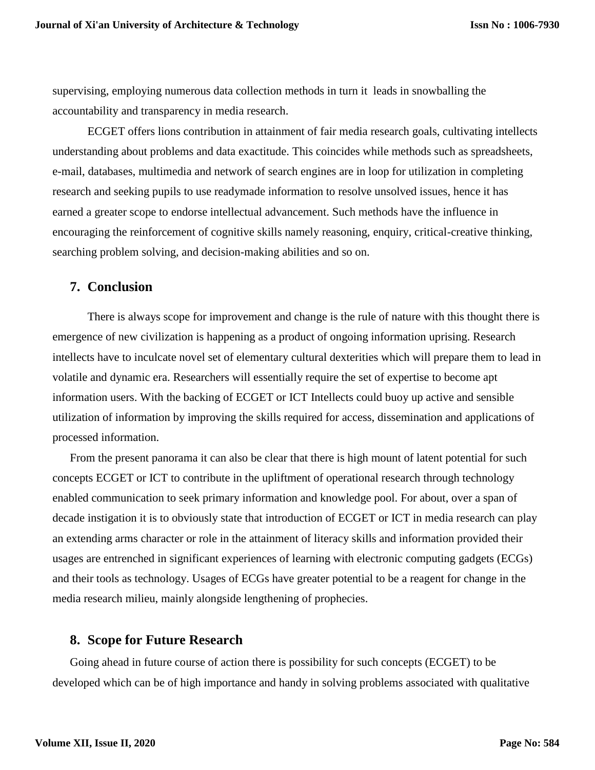supervising, employing numerous data collection methods in turn it leads in snowballing the accountability and transparency in media research.

ECGET offers lions contribution in attainment of fair media research goals, cultivating intellects understanding about problems and data exactitude. This coincides while methods such as spreadsheets, e-mail, databases, multimedia and network of search engines are in loop for utilization in completing research and seeking pupils to use readymade information to resolve unsolved issues, hence it has earned a greater scope to endorse intellectual advancement. Such methods have the influence in encouraging the reinforcement of cognitive skills namely reasoning, enquiry, critical-creative thinking, searching problem solving, and decision-making abilities and so on.

#### **7. Conclusion**

There is always scope for improvement and change is the rule of nature with this thought there is emergence of new civilization is happening as a product of ongoing information uprising. Research intellects have to inculcate novel set of elementary cultural dexterities which will prepare them to lead in volatile and dynamic era. Researchers will essentially require the set of expertise to become apt information users. With the backing of ECGET or ICT Intellects could buoy up active and sensible utilization of information by improving the skills required for access, dissemination and applications of processed information.

From the present panorama it can also be clear that there is high mount of latent potential for such concepts ECGET or ICT to contribute in the upliftment of operational research through technology enabled communication to seek primary information and knowledge pool. For about, over a span of decade instigation it is to obviously state that introduction of ECGET or ICT in media research can play an extending arms character or role in the attainment of literacy skills and information provided their usages are entrenched in significant experiences of learning with electronic computing gadgets (ECGs) and their tools as technology. Usages of ECGs have greater potential to be a reagent for change in the media research milieu, mainly alongside lengthening of prophecies.

#### **8. Scope for Future Research**

Going ahead in future course of action there is possibility for such concepts (ECGET) to be developed which can be of high importance and handy in solving problems associated with qualitative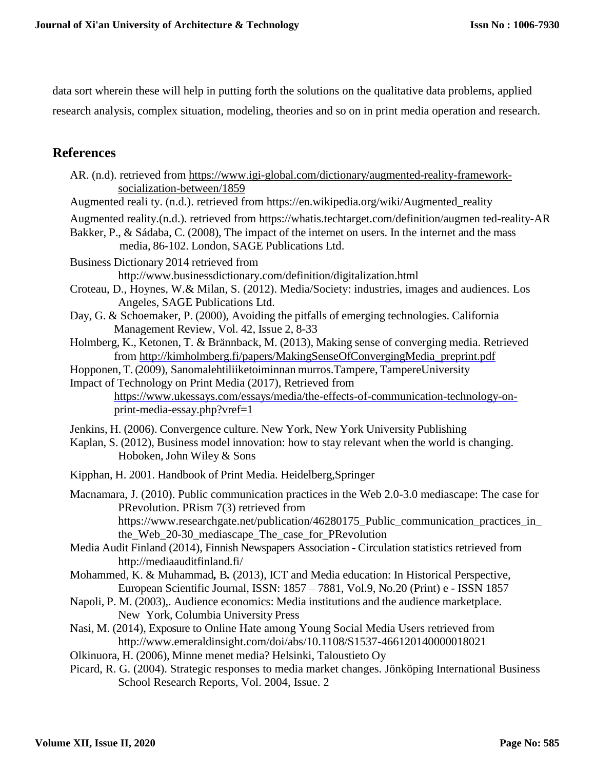data sort wherein these will help in putting forth the solutions on the qualitative data problems, applied research analysis, complex situation, modeling, theories and so on in print media operation and research.

# **References**

| AR. (n.d). retrieved from https://www.igi-global.com/dictionary/augmented-reality-framework-                                                                                                                                                                                                                                                                                                                                                                                                                                                                                                                                                                                                                                                                                                                                                                                                                                                                                                                                                                                                                                                         |
|------------------------------------------------------------------------------------------------------------------------------------------------------------------------------------------------------------------------------------------------------------------------------------------------------------------------------------------------------------------------------------------------------------------------------------------------------------------------------------------------------------------------------------------------------------------------------------------------------------------------------------------------------------------------------------------------------------------------------------------------------------------------------------------------------------------------------------------------------------------------------------------------------------------------------------------------------------------------------------------------------------------------------------------------------------------------------------------------------------------------------------------------------|
| socialization-between/1859<br>Augmented reali ty. (n.d.). retrieved from https://en.wikipedia.org/wiki/Augmented_reality                                                                                                                                                                                                                                                                                                                                                                                                                                                                                                                                                                                                                                                                                                                                                                                                                                                                                                                                                                                                                             |
| Augmented reality.(n.d.). retrieved from https://whatis.techtarget.com/definition/augmen ted-reality-AR<br>Bakker, P., & Sádaba, C. (2008), The impact of the internet on users. In the internet and the mass<br>media, 86-102. London, SAGE Publications Ltd.                                                                                                                                                                                                                                                                                                                                                                                                                                                                                                                                                                                                                                                                                                                                                                                                                                                                                       |
| Business Dictionary 2014 retrieved from<br>http://www.businessdictionary.com/definition/digitalization.html<br>Croteau, D., Hoynes, W.& Milan, S. (2012). Media/Society: industries, images and audiences. Los<br>Angeles, SAGE Publications Ltd.<br>Day, G. & Schoemaker, P. (2000), Avoiding the pitfalls of emerging technologies. California<br>Management Review, Vol. 42, Issue 2, 8-33<br>Holmberg, K., Ketonen, T. & Brännback, M. (2013), Making sense of converging media. Retrieved<br>from http://kimholmberg.fi/papers/MakingSenseOfConvergingMedia_preprint.pdf<br>Hopponen, T. (2009), Sanomalehtiliiketoiminnan murros. Tampere, TampereUniversity<br>Impact of Technology on Print Media (2017), Retrieved from<br>https://www.ukessays.com/essays/media/the-effects-of-communication-technology-on-<br>print-media-essay.php?vref=1                                                                                                                                                                                                                                                                                                |
| Jenkins, H. (2006). Convergence culture. New York, New York University Publishing<br>Kaplan, S. (2012), Business model innovation: how to stay relevant when the world is changing.<br>Hoboken, John Wiley & Sons                                                                                                                                                                                                                                                                                                                                                                                                                                                                                                                                                                                                                                                                                                                                                                                                                                                                                                                                    |
| Kipphan, H. 2001. Handbook of Print Media. Heidelberg, Springer                                                                                                                                                                                                                                                                                                                                                                                                                                                                                                                                                                                                                                                                                                                                                                                                                                                                                                                                                                                                                                                                                      |
| Macnamara, J. (2010). Public communication practices in the Web 2.0-3.0 mediascape: The case for<br>PRevolution. PRism 7(3) retrieved from<br>https://www.researchgate.net/publication/46280175_Public_communication_practices_in_<br>the_Web_20-30_mediascape_The_case_for_PRevolution<br>Media Audit Finland (2014), Finnish Newspapers Association - Circulation statistics retrieved from<br>http://mediaauditfinland.fi/<br>Mohammed, K. & Muhammad, B. (2013), ICT and Media education: In Historical Perspective,<br>European Scientific Journal, ISSN: 1857 - 7881, Vol.9, No.20 (Print) e - ISSN 1857<br>Napoli, P. M. (2003),. Audience economics: Media institutions and the audience marketplace.<br>New York, Columbia University Press<br>Nasi, M. (2014), Exposure to Online Hate among Young Social Media Users retrieved from<br>http://www.emeraldinsight.com/doi/abs/10.1108/S1537-466120140000018021<br>Olkinuora, H. (2006), Minne menet media? Helsinki, Taloustieto Oy<br>Picard, R. G. (2004). Strategic responses to media market changes. Jönköping International Business<br>School Research Reports, Vol. 2004, Issue. 2 |
|                                                                                                                                                                                                                                                                                                                                                                                                                                                                                                                                                                                                                                                                                                                                                                                                                                                                                                                                                                                                                                                                                                                                                      |